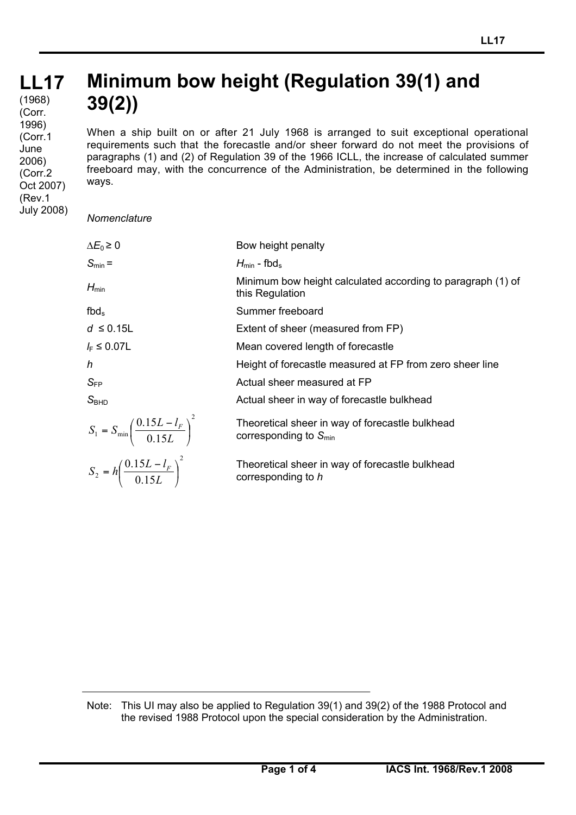## **LL17 LL17** (1968) **Minimum bow height (Regulation 39(1) and 39(2))** (Corr.

When a ship built on or after 21 July 1968 is arranged to suit exceptional operational requirements such that the forecastle and/or sheer forward do not meet the provisions of paragraphs (1) and (2) of Regulation 39 of the 1966 ICLL, the increase of calculated summer freeboard may, with the concurrence of the Administration, be determined in the following ways.

*Nomenclature*

1996) (Corr.1 June 2006) (Corr.2 Oct 2007) (Rev.1 July 2008)

| $\Delta E_0 \geq 0$                                       | Bow height penalty                                                             |
|-----------------------------------------------------------|--------------------------------------------------------------------------------|
| $S_{\text{min}} =$                                        | $H_{\text{min}}$ - fbd <sub>s</sub>                                            |
| $H_{\text{min}}$                                          | Minimum bow height calculated according to paragraph (1) of<br>this Regulation |
| $fbd_s$                                                   | Summer freeboard                                                               |
| $d \leq 0.15L$                                            | Extent of sheer (measured from FP)                                             |
| $l_{\rm F} \leq 0.07 L$                                   | Mean covered length of forecastle                                              |
| h                                                         | Height of forecastle measured at FP from zero sheer line                       |
| $\mathsf{S}_{\mathsf{FP}}$                                | Actual sheer measured at FP                                                    |
| S <sub>BHD</sub>                                          | Actual sheer in way of forecastle bulkhead                                     |
| $S_1 = S_{\min} \left( \frac{0.15L - l_F}{0.15L} \right)$ | Theoretical sheer in way of forecastle bulkhead<br>corresponding to $S_{min}$  |
| $S_2 = h \left( \frac{0.15L - l_F}{0.15L} \right)^2$      | Theoretical sheer in way of forecastle bulkhead<br>corresponding to h          |

Note: This UI may also be applied to Regulation 39(1) and 39(2) of the 1988 Protocol and the revised 1988 Protocol upon the special consideration by the Administration.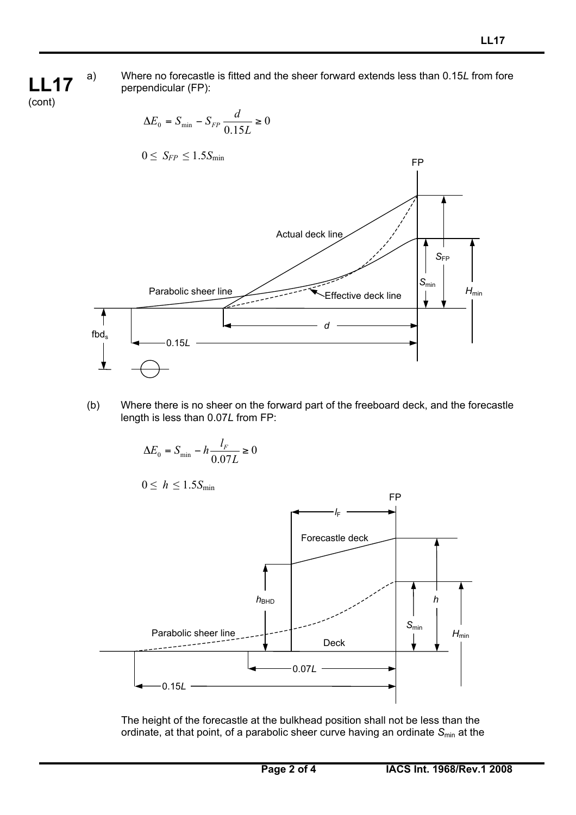a) Where no forecastle is fitted and the sheer forward extends less than 0.15*L* from fore perpendicular (FP):

$$
\Delta E_0 = S_{\min} - S_{FP} \frac{d}{0.15L} \ge 0
$$
  
0 \n $\le S_{FP} \le 1.5 S_{\min}$   
Actual deck line  
Parabolic sheer line  
6*th*<sub>ds</sub>  

(b) Where there is no sheer on the forward part of the freeboard deck, and the forecastle length is less than 0.07*L* from FP:

$$
\Delta E_0 = S_{\min} - h \frac{l_F}{0.07L} \ge 0
$$

 $0 \leq h \leq 1.5 S_{\text{min}}$ 

**LL17** (cont)



The height of the forecastle at the bulkhead position shall not be less than the ordinate, at that point, of a parabolic sheer curve having an ordinate S<sub>min</sub> at the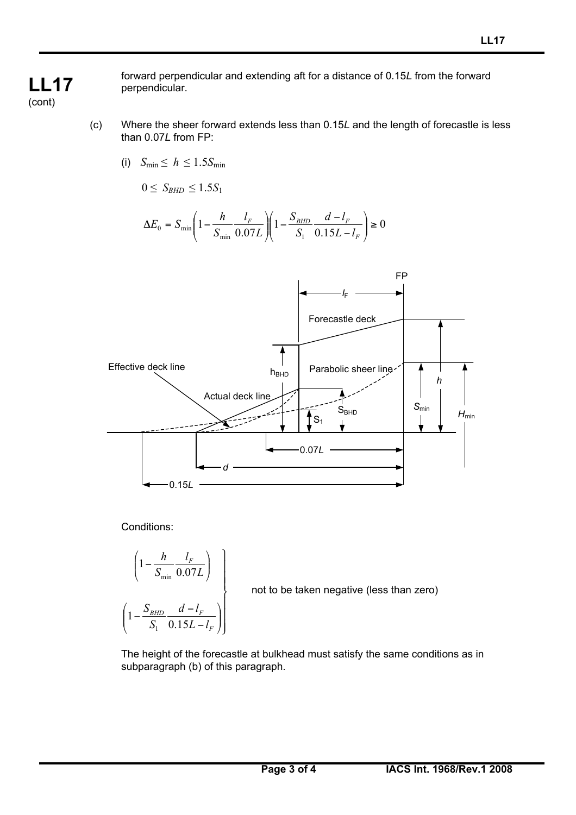**LL17** (cont)

forward perpendicular and extending aft for a distance of 0.15*L* from the forward perpendicular.

- (c) Where the sheer forward extends less than 0.15*L* and the length of forecastle is less than 0.07*L* from FP:
	- (i)  $S_{\text{min}} \leq h \leq 1.5 S_{\text{min}}$

$$
0 \leq S_{\text{BHD}} \leq 1.5 S_1
$$

$$
\Delta E_0 = S_{\min} \left( 1 - \frac{h}{S_{\min}} \frac{l_F}{0.07L} \right) \left( 1 - \frac{S_{BHD}}{S_1} \frac{d - l_F}{0.15L - l_F} \right) \ge 0
$$



Conditions:

$$
\left(1 - \frac{h}{S_{\min}} \frac{l_F}{0.07L}\right)
$$
\n
$$
\left(1 - \frac{S_{BHD}}{S_1} \frac{d - l_F}{0.15L - l_F}\right)
$$

not to be taken negative (less than zero)

The height of the forecastle at bulkhead must satisfy the same conditions as in subparagraph (b) of this paragraph.